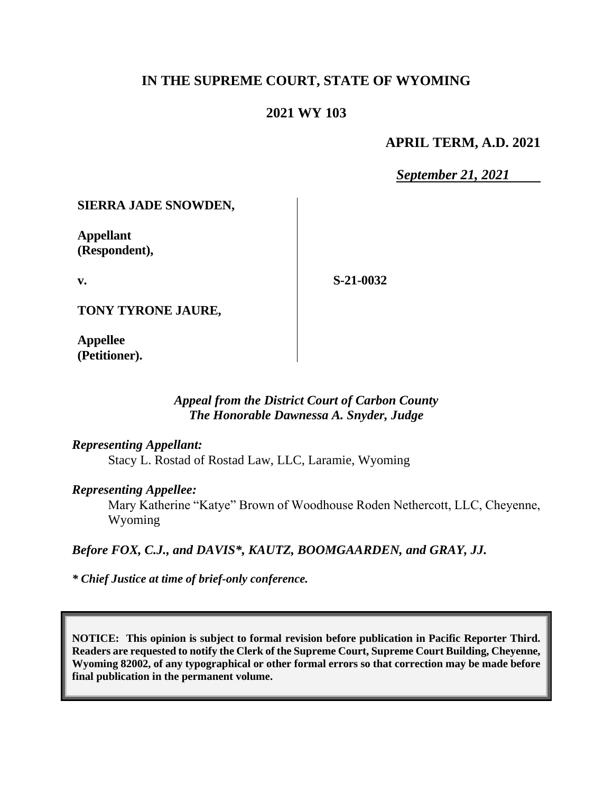# **IN THE SUPREME COURT, STATE OF WYOMING**

## **2021 WY 103**

## **APRIL TERM, A.D. 2021**

*September 21, 2021*

#### **SIERRA JADE SNOWDEN,**

**Appellant (Respondent),**

**v.**

**S-21-0032**

**TONY TYRONE JAURE,**

**Appellee (Petitioner).**

#### *Appeal from the District Court of Carbon County The Honorable Dawnessa A. Snyder, Judge*

#### *Representing Appellant:*

Stacy L. Rostad of Rostad Law, LLC, Laramie, Wyoming

#### *Representing Appellee:*

Mary Katherine "Katye" Brown of Woodhouse Roden Nethercott, LLC, Cheyenne, Wyoming

## *Before FOX, C.J., and DAVIS\*, KAUTZ, BOOMGAARDEN, and GRAY, JJ.*

*\* Chief Justice at time of brief-only conference.*

**NOTICE: This opinion is subject to formal revision before publication in Pacific Reporter Third. Readers are requested to notify the Clerk of the Supreme Court, Supreme Court Building, Cheyenne, Wyoming 82002, of any typographical or other formal errors so that correction may be made before final publication in the permanent volume.**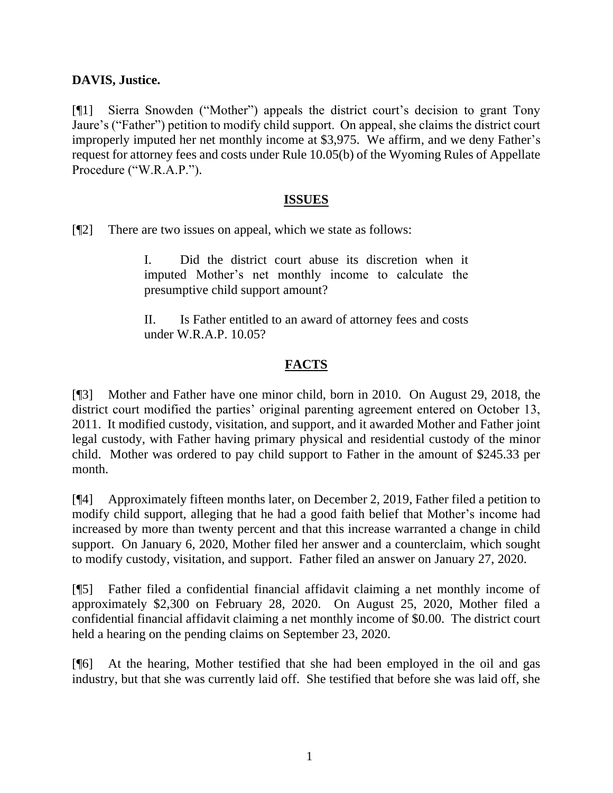## **DAVIS, Justice.**

[¶1] Sierra Snowden ("Mother") appeals the district court's decision to grant Tony Jaure's ("Father") petition to modify child support. On appeal, she claims the district court improperly imputed her net monthly income at \$3,975. We affirm, and we deny Father's request for attorney fees and costs under Rule 10.05(b) of the Wyoming Rules of Appellate Procedure ("W.R.A.P.").

#### **ISSUES**

[¶2] There are two issues on appeal, which we state as follows:

I. Did the district court abuse its discretion when it imputed Mother's net monthly income to calculate the presumptive child support amount?

II. Is Father entitled to an award of attorney fees and costs under W.R.A.P. 10.05?

## **FACTS**

[¶3] Mother and Father have one minor child, born in 2010. On August 29, 2018, the district court modified the parties' original parenting agreement entered on October 13, 2011. It modified custody, visitation, and support, and it awarded Mother and Father joint legal custody, with Father having primary physical and residential custody of the minor child. Mother was ordered to pay child support to Father in the amount of \$245.33 per month.

[¶4] Approximately fifteen months later, on December 2, 2019, Father filed a petition to modify child support, alleging that he had a good faith belief that Mother's income had increased by more than twenty percent and that this increase warranted a change in child support. On January 6, 2020, Mother filed her answer and a counterclaim, which sought to modify custody, visitation, and support. Father filed an answer on January 27, 2020.

[¶5] Father filed a confidential financial affidavit claiming a net monthly income of approximately \$2,300 on February 28, 2020. On August 25, 2020, Mother filed a confidential financial affidavit claiming a net monthly income of \$0.00. The district court held a hearing on the pending claims on September 23, 2020.

[¶6] At the hearing, Mother testified that she had been employed in the oil and gas industry, but that she was currently laid off. She testified that before she was laid off, she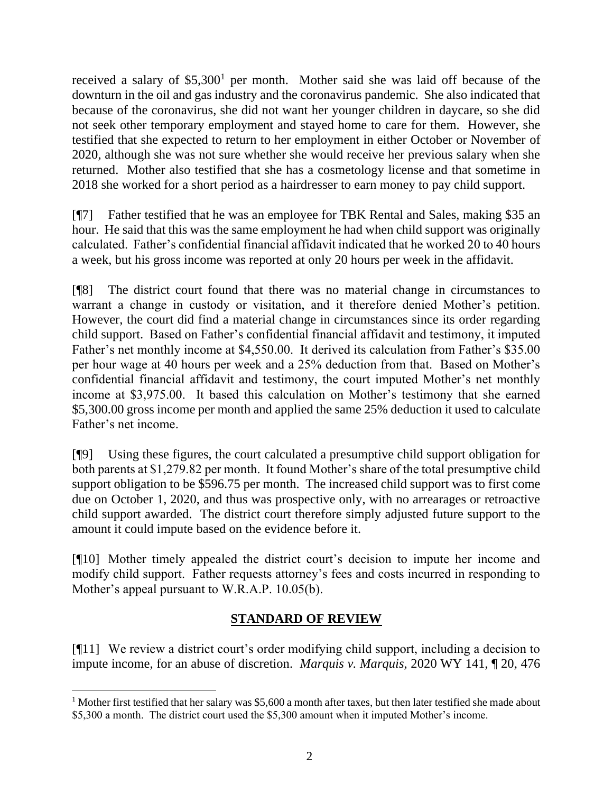received a salary of  $$5,300<sup>1</sup>$  per month. Mother said she was laid off because of the downturn in the oil and gas industry and the coronavirus pandemic. She also indicated that because of the coronavirus, she did not want her younger children in daycare, so she did not seek other temporary employment and stayed home to care for them. However, she testified that she expected to return to her employment in either October or November of 2020, although she was not sure whether she would receive her previous salary when she returned. Mother also testified that she has a cosmetology license and that sometime in 2018 she worked for a short period as a hairdresser to earn money to pay child support.

[¶7] Father testified that he was an employee for TBK Rental and Sales, making \$35 an hour. He said that this was the same employment he had when child support was originally calculated. Father's confidential financial affidavit indicated that he worked 20 to 40 hours a week, but his gross income was reported at only 20 hours per week in the affidavit.

[¶8] The district court found that there was no material change in circumstances to warrant a change in custody or visitation, and it therefore denied Mother's petition. However, the court did find a material change in circumstances since its order regarding child support. Based on Father's confidential financial affidavit and testimony, it imputed Father's net monthly income at \$4,550.00. It derived its calculation from Father's \$35.00 per hour wage at 40 hours per week and a 25% deduction from that. Based on Mother's confidential financial affidavit and testimony, the court imputed Mother's net monthly income at \$3,975.00. It based this calculation on Mother's testimony that she earned \$5,300.00 gross income per month and applied the same 25% deduction it used to calculate Father's net income.

[¶9] Using these figures, the court calculated a presumptive child support obligation for both parents at \$1,279.82 per month. It found Mother's share of the total presumptive child support obligation to be \$596.75 per month. The increased child support was to first come due on October 1, 2020, and thus was prospective only, with no arrearages or retroactive child support awarded. The district court therefore simply adjusted future support to the amount it could impute based on the evidence before it.

[¶10] Mother timely appealed the district court's decision to impute her income and modify child support. Father requests attorney's fees and costs incurred in responding to Mother's appeal pursuant to W.R.A.P. 10.05(b).

# **STANDARD OF REVIEW**

[¶11] We review a district court's order modifying child support, including a decision to impute income, for an abuse of discretion. *Marquis v. Marquis*, 2020 WY 141, ¶ 20, 476

<sup>&</sup>lt;sup>1</sup> Mother first testified that her salary was \$5,600 a month after taxes, but then later testified she made about \$5,300 a month. The district court used the \$5,300 amount when it imputed Mother's income.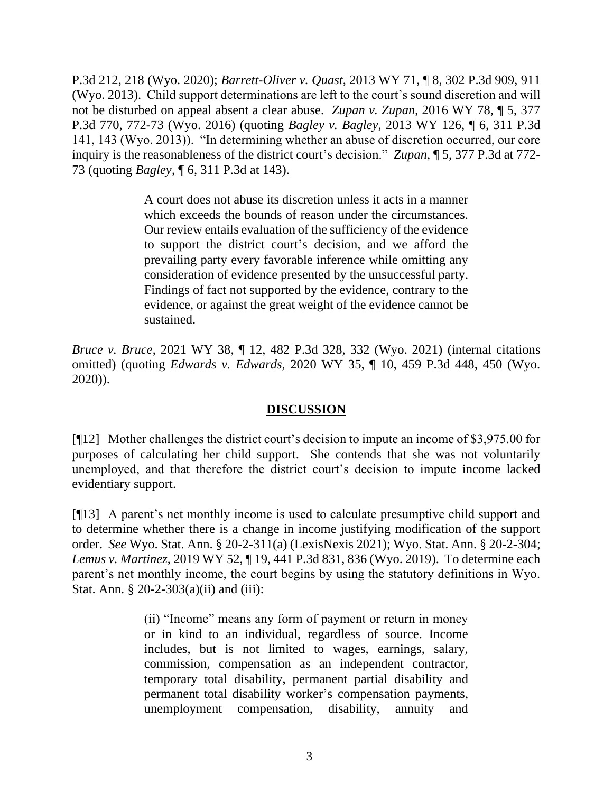P.3d 212, 218 (Wyo. 2020); *Barrett-Oliver v. Quast*, 2013 WY 71, ¶ 8, 302 P.3d 909, 911 (Wyo. 2013). Child support determinations are left to the court's sound discretion and will not be disturbed on appeal absent a clear abuse. *Zupan v. Zupan*, 2016 WY 78, ¶ 5, 377 P.3d 770, 772-73 (Wyo. 2016) (quoting *Bagley v. Bagley*, 2013 WY 126, ¶ 6, 311 P.3d 141, 143 (Wyo. 2013)). "In determining whether an abuse of discretion occurred, our core inquiry is the reasonableness of the district court's decision." *Zupan*, ¶ 5, 377 P.3d at 772- 73 (quoting *Bagley*, ¶ 6, 311 P.3d at 143).

> A court does not abuse its discretion unless it acts in a manner which exceeds the bounds of reason under the circumstances. Our review entails evaluation of the sufficiency of the evidence to support the district court's decision, and we afford the prevailing party every favorable inference while omitting any consideration of evidence presented by the unsuccessful party. Findings of fact not supported by the evidence, contrary to the evidence, or against the great weight of the evidence cannot be sustained.

*Bruce v. Bruce*, 2021 WY 38, ¶ 12, 482 P.3d 328, 332 (Wyo. 2021) (internal citations omitted) (quoting *Edwards v. Edwards*, 2020 WY 35, ¶ 10, 459 P.3d 448, 450 (Wyo. 2020)).

## **DISCUSSION**

[¶12] Mother challenges the district court's decision to impute an income of \$3,975.00 for purposes of calculating her child support. She contends that she was not voluntarily unemployed, and that therefore the district court's decision to impute income lacked evidentiary support.

[¶13] A parent's net monthly income is used to calculate presumptive child support and to determine whether there is a change in income justifying modification of the support order. *See* Wyo. Stat. Ann. § 20-2-311(a) (LexisNexis 2021); Wyo. Stat. Ann. § 20-2-304; *Lemus v. Martinez*, 2019 WY 52, ¶ 19, 441 P.3d 831, 836 (Wyo. 2019). To determine each parent's net monthly income, the court begins by using the statutory definitions in Wyo. Stat. Ann. § 20-2-303(a)(ii) and (iii):

> (ii) "Income" means any form of payment or return in money or in kind to an individual, regardless of source. Income includes, but is not limited to wages, earnings, salary, commission, compensation as an independent contractor, temporary total disability, permanent partial disability and permanent total disability worker's compensation payments, unemployment compensation, disability, annuity and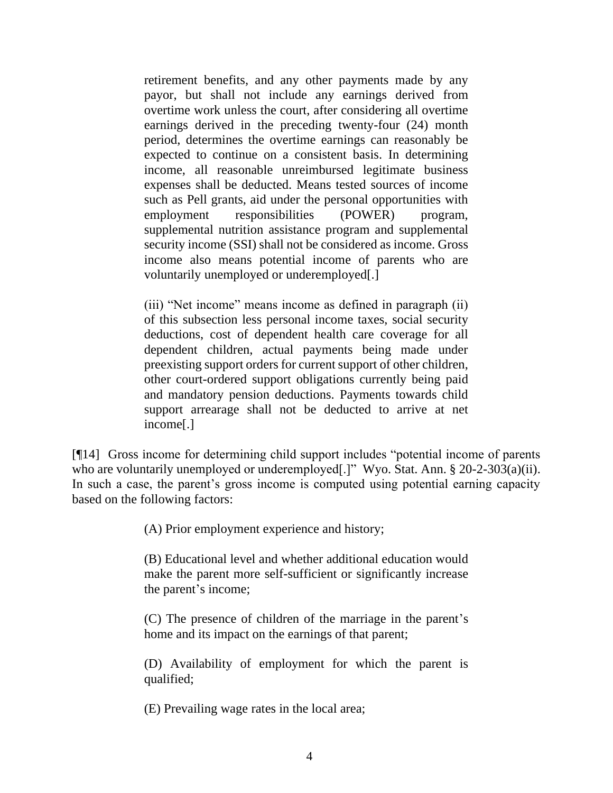retirement benefits, and any other payments made by any payor, but shall not include any earnings derived from overtime work unless the court, after considering all overtime earnings derived in the preceding twenty-four (24) month period, determines the overtime earnings can reasonably be expected to continue on a consistent basis. In determining income, all reasonable unreimbursed legitimate business expenses shall be deducted. Means tested sources of income such as Pell grants, aid under the personal opportunities with employment responsibilities (POWER) program, supplemental nutrition assistance program and supplemental security income (SSI) shall not be considered as income. Gross income also means potential income of parents who are voluntarily unemployed or underemployed[.]

(iii) "Net income" means income as defined in paragraph (ii) of this subsection less personal income taxes, social security deductions, cost of dependent health care coverage for all dependent children, actual payments being made under preexisting support orders for current support of other children, other court-ordered support obligations currently being paid and mandatory pension deductions. Payments towards child support arrearage shall not be deducted to arrive at net income[.]

[¶14] Gross income for determining child support includes "potential income of parents who are voluntarily unemployed or underemployed. "Wyo. Stat. Ann. § 20-2-303(a)(ii). In such a case, the parent's gross income is computed using potential earning capacity based on the following factors:

(A) Prior employment experience and history;

(B) Educational level and whether additional education would make the parent more self-sufficient or significantly increase the parent's income;

(C) The presence of children of the marriage in the parent's home and its impact on the earnings of that parent;

(D) Availability of employment for which the parent is qualified;

(E) Prevailing wage rates in the local area;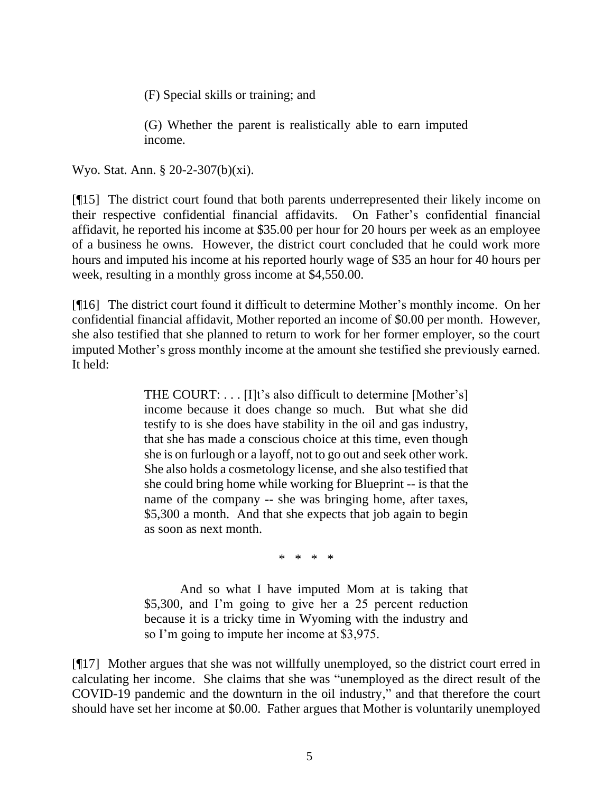(F) Special skills or training; and

(G) Whether the parent is realistically able to earn imputed income.

Wyo. Stat. Ann. § 20-2-307(b)(xi).

[¶15] The district court found that both parents underrepresented their likely income on their respective confidential financial affidavits. On Father's confidential financial affidavit, he reported his income at \$35.00 per hour for 20 hours per week as an employee of a business he owns. However, the district court concluded that he could work more hours and imputed his income at his reported hourly wage of \$35 an hour for 40 hours per week, resulting in a monthly gross income at \$4,550.00.

[¶16] The district court found it difficult to determine Mother's monthly income. On her confidential financial affidavit, Mother reported an income of \$0.00 per month. However, she also testified that she planned to return to work for her former employer, so the court imputed Mother's gross monthly income at the amount she testified she previously earned. It held:

> THE COURT: . . . [I]t's also difficult to determine [Mother's] income because it does change so much. But what she did testify to is she does have stability in the oil and gas industry, that she has made a conscious choice at this time, even though she is on furlough or a layoff, not to go out and seek other work. She also holds a cosmetology license, and she also testified that she could bring home while working for Blueprint -- is that the name of the company -- she was bringing home, after taxes, \$5,300 a month. And that she expects that job again to begin as soon as next month.

> > \* \* \* \*

And so what I have imputed Mom at is taking that \$5,300, and I'm going to give her a 25 percent reduction because it is a tricky time in Wyoming with the industry and so I'm going to impute her income at \$3,975.

[¶17] Mother argues that she was not willfully unemployed, so the district court erred in calculating her income. She claims that she was "unemployed as the direct result of the COVID-19 pandemic and the downturn in the oil industry," and that therefore the court should have set her income at \$0.00. Father argues that Mother is voluntarily unemployed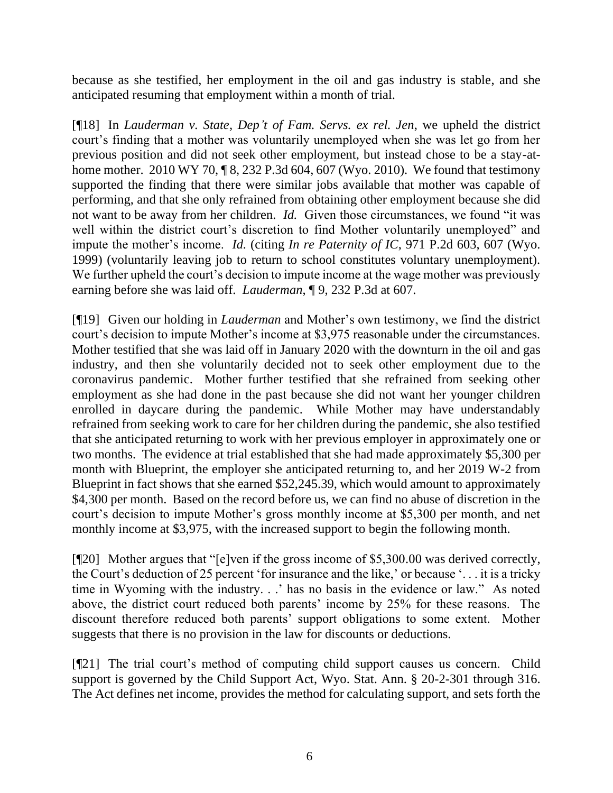because as she testified, her employment in the oil and gas industry is stable, and she anticipated resuming that employment within a month of trial.

[¶18] In *Lauderman v. State, Dep't of Fam. Servs. ex rel. Jen*, we upheld the district court's finding that a mother was voluntarily unemployed when she was let go from her previous position and did not seek other employment, but instead chose to be a stay-athome mother. 2010 WY 70, ¶ 8, 232 P.3d 604, 607 (Wyo. 2010). We found that testimony supported the finding that there were similar jobs available that mother was capable of performing, and that she only refrained from obtaining other employment because she did not want to be away from her children. *Id.* Given those circumstances, we found "it was well within the district court's discretion to find Mother voluntarily unemployed" and impute the mother's income. *Id.* (citing *In re Paternity of IC*, 971 P.2d 603, 607 (Wyo. 1999) (voluntarily leaving job to return to school constitutes voluntary unemployment). We further upheld the court's decision to impute income at the wage mother was previously earning before she was laid off. *Lauderman*, ¶ 9, 232 P.3d at 607.

[¶19] Given our holding in *Lauderman* and Mother's own testimony, we find the district court's decision to impute Mother's income at \$3,975 reasonable under the circumstances. Mother testified that she was laid off in January 2020 with the downturn in the oil and gas industry, and then she voluntarily decided not to seek other employment due to the coronavirus pandemic. Mother further testified that she refrained from seeking other employment as she had done in the past because she did not want her younger children enrolled in daycare during the pandemic. While Mother may have understandably refrained from seeking work to care for her children during the pandemic, she also testified that she anticipated returning to work with her previous employer in approximately one or two months. The evidence at trial established that she had made approximately \$5,300 per month with Blueprint, the employer she anticipated returning to, and her 2019 W-2 from Blueprint in fact shows that she earned \$52,245.39, which would amount to approximately \$4,300 per month. Based on the record before us, we can find no abuse of discretion in the court's decision to impute Mother's gross monthly income at \$5,300 per month, and net monthly income at \$3,975, with the increased support to begin the following month.

[¶20] Mother argues that "[e]ven if the gross income of \$5,300.00 was derived correctly, the Court's deduction of 25 percent 'for insurance and the like,' or because '. . . it is a tricky time in Wyoming with the industry. . .' has no basis in the evidence or law." As noted above, the district court reduced both parents' income by 25% for these reasons. The discount therefore reduced both parents' support obligations to some extent. Mother suggests that there is no provision in the law for discounts or deductions.

[¶21] The trial court's method of computing child support causes us concern. Child support is governed by the Child Support Act, Wyo. Stat. Ann. § 20-2-301 through 316. The Act defines net income, provides the method for calculating support, and sets forth the